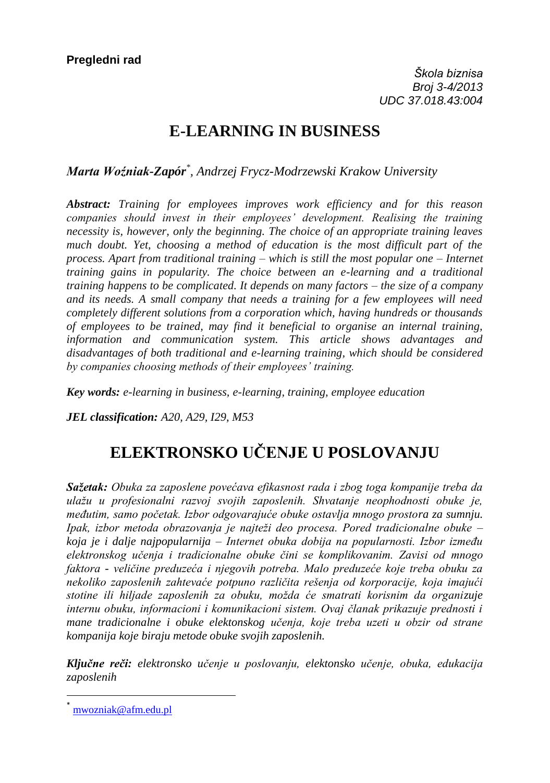## **E-LEARNING IN BUSINESS**

*Marta Woźniak-Zapór\* , Andrzej Frycz-Modrzewski Krakow University*

*Abstract: Training for employees improves work efficiency and for this reason companies should invest in their employees' development. Realising the training necessity is, however, only the beginning. The choice of an appropriate training leaves much doubt. Yet, choosing a method of education is the most difficult part of the process. Apart from traditional training – which is still the most popular one – Internet training gains in popularity. The choice between an e-learning and a traditional training happens to be complicated. It depends on many factors – the size of a company and its needs. A small company that needs a training for a few employees will need completely different solutions from a corporation which, having hundreds or thousands of employees to be trained, may find it beneficial to organise an internal training, information and communication system. This article shows advantages and disadvantages of both traditional and e-learning training, which should be considered by companies choosing methods of their employees' training.* 

*Key words: e-learning in business, e-learning, training, employee education* 

*JEL classification: A20, A29, I29, M53*

# **ELEKTRONSKO UČENJE U POSLOVANJU**

**Sažetak:** Obuka za zaposlene povećava efikasnost rada i zbog toga kompanije treba da ulažu u profesionalni razvoj svojih zaposlenih. Shvatanje neophodnosti obuke je, *međutim, samo početak. Izbor odgovarajuće obuke ostavlja mnogo prostora za sumnju. Ipak, izbor metoda obrazovanja je najteži deo procesa. Pored tradicionalne obuke –* koja je i dalje najpopularnija – Internet obuka dobija na popularnosti. Izbor između *ele trons og u en a i tradicionalne obu e ini se ompli ovanim. Zavisi od mnogo*  faktora - veličine preduzeća i njegovih potreba. Malo preduzeće koje treba obuku za nekoliko zaposlenih zahtevaće potpuno različita rešenja od korporacije, koja imajući *stotine ili hil ade aposlenih a obu u mo da e smatrati orisnim da organizuje*  internu obuku, informacioni i komunikacioni sistem. Ovaj članak prikazuje prednosti i mane tradicionalne i obuke elektonskog učenja, koje treba uzeti u obzir od strane *kompanija koje biraju metode obuke svojih zaposlenih.*

Ključne reči: elektronsko učenje u poslovanju, elektonsko učenje, obuka, edukacija *zaposlenih* 

 $\overline{\phantom{a}}$ 

[mwozniak@afm.edu.pl](http://mail.vps.ns.ac.rs/owa/redir.aspx?C=d3889cd2824045798b04611b2c42a5b5&URL=mailto%3amwozniak%40afm.edu.pl)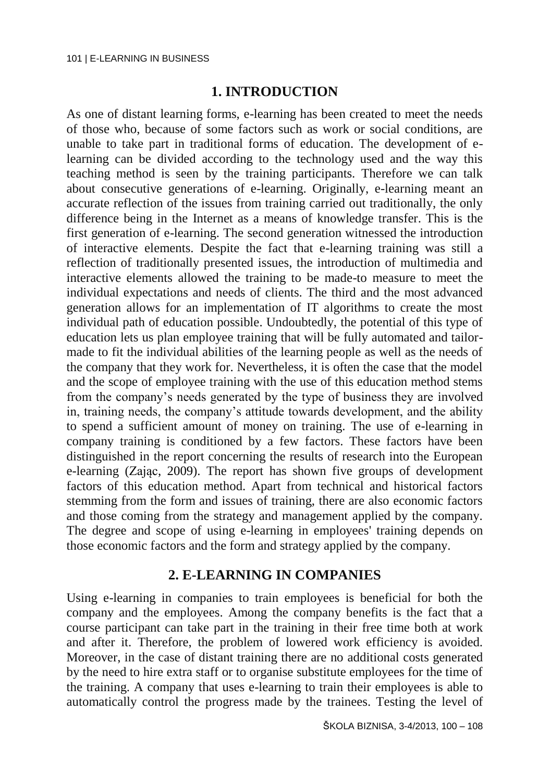### **1. INTRODUCTION**

As one of distant learning forms, e-learning has been created to meet the needs of those who, because of some factors such as work or social conditions, are unable to take part in traditional forms of education. The development of elearning can be divided according to the technology used and the way this teaching method is seen by the training participants. Therefore we can talk about consecutive generations of e-learning. Originally, e-learning meant an accurate reflection of the issues from training carried out traditionally, the only difference being in the Internet as a means of knowledge transfer. This is the first generation of e-learning. The second generation witnessed the introduction of interactive elements. Despite the fact that e-learning training was still a reflection of traditionally presented issues, the introduction of multimedia and interactive elements allowed the training to be made-to measure to meet the individual expectations and needs of clients. The third and the most advanced generation allows for an implementation of IT algorithms to create the most individual path of education possible. Undoubtedly, the potential of this type of education lets us plan employee training that will be fully automated and tailormade to fit the individual abilities of the learning people as well as the needs of the company that they work for. Nevertheless, it is often the case that the model and the scope of employee training with the use of this education method stems from the company's needs generated by the type of business they are involved in, training needs, the company's attitude towards development, and the ability to spend a sufficient amount of money on training. The use of e-learning in company training is conditioned by a few factors. These factors have been distinguished in the report concerning the results of research into the European e-learning (Zając, 2009). The report has shown five groups of development factors of this education method. Apart from technical and historical factors stemming from the form and issues of training, there are also economic factors and those coming from the strategy and management applied by the company. The degree and scope of using e-learning in employees' training depends on those economic factors and the form and strategy applied by the company.

### **2. E-LEARNING IN COMPANIES**

Using e-learning in companies to train employees is beneficial for both the company and the employees. Among the company benefits is the fact that a course participant can take part in the training in their free time both at work and after it. Therefore, the problem of lowered work efficiency is avoided. Moreover, in the case of distant training there are no additional costs generated by the need to hire extra staff or to organise substitute employees for the time of the training. A company that uses e-learning to train their employees is able to automatically control the progress made by the trainees. Testing the level of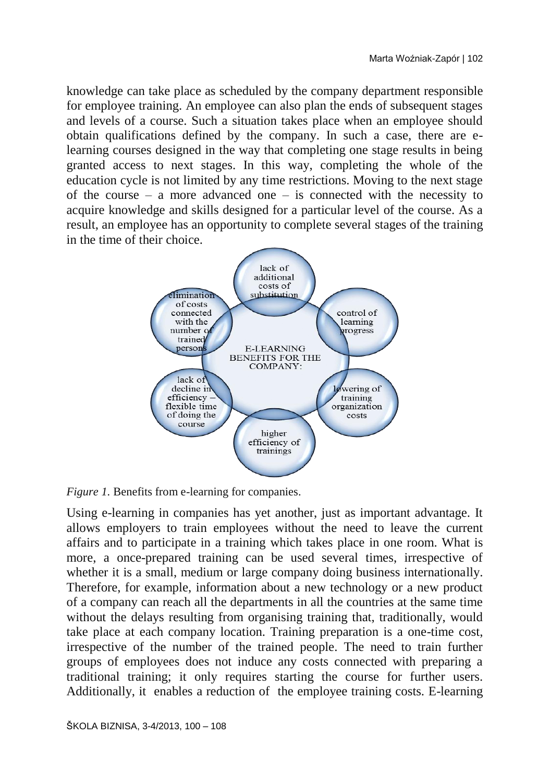knowledge can take place as scheduled by the company department responsible for employee training. An employee can also plan the ends of subsequent stages and levels of a course. Such a situation takes place when an employee should obtain qualifications defined by the company. In such a case, there are elearning courses designed in the way that completing one stage results in being granted access to next stages. In this way, completing the whole of the education cycle is not limited by any time restrictions. Moving to the next stage of the course – a more advanced one – is connected with the necessity to acquire knowledge and skills designed for a particular level of the course. As a result, an employee has an opportunity to complete several stages of the training in the time of their choice.



*Figure 1.* Benefits from e-learning for companies.

Using e-learning in companies has yet another, just as important advantage. It allows employers to train employees without the need to leave the current affairs and to participate in a training which takes place in one room. What is more, a once-prepared training can be used several times, irrespective of whether it is a small, medium or large company doing business internationally. Therefore, for example, information about a new technology or a new product of a company can reach all the departments in all the countries at the same time without the delays resulting from organising training that, traditionally, would take place at each company location. Training preparation is a one-time cost, irrespective of the number of the trained people. The need to train further groups of employees does not induce any costs connected with preparing a traditional training; it only requires starting the course for further users. Additionally, it enables a reduction of the employee training costs. E-learning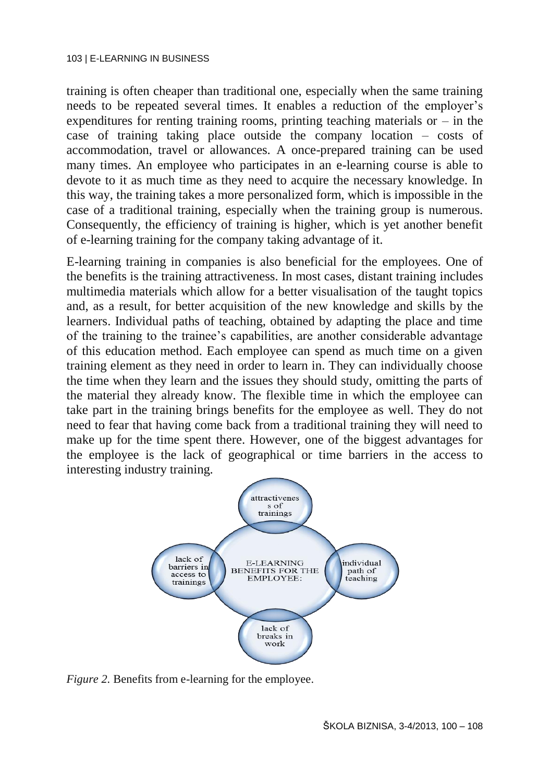training is often cheaper than traditional one, especially when the same training needs to be repeated several times. It enables a reduction of the employer's expenditures for renting training rooms, printing teaching materials or  $-$  in the case of training taking place outside the company location – costs of accommodation, travel or allowances. A once-prepared training can be used many times. An employee who participates in an e-learning course is able to devote to it as much time as they need to acquire the necessary knowledge. In this way, the training takes a more personalized form, which is impossible in the case of a traditional training, especially when the training group is numerous. Consequently, the efficiency of training is higher, which is yet another benefit of e-learning training for the company taking advantage of it.

E-learning training in companies is also beneficial for the employees. One of the benefits is the training attractiveness. In most cases, distant training includes multimedia materials which allow for a better visualisation of the taught topics and, as a result, for better acquisition of the new knowledge and skills by the learners. Individual paths of teaching, obtained by adapting the place and time of the training to the trainee's capabilities, are another considerable advantage of this education method. Each employee can spend as much time on a given training element as they need in order to learn in. They can individually choose the time when they learn and the issues they should study, omitting the parts of the material they already know. The flexible time in which the employee can take part in the training brings benefits for the employee as well. They do not need to fear that having come back from a traditional training they will need to make up for the time spent there. However, one of the biggest advantages for the employee is the lack of geographical or time barriers in the access to interesting industry training.



*Figure 2.* Benefits from e-learning for the employee.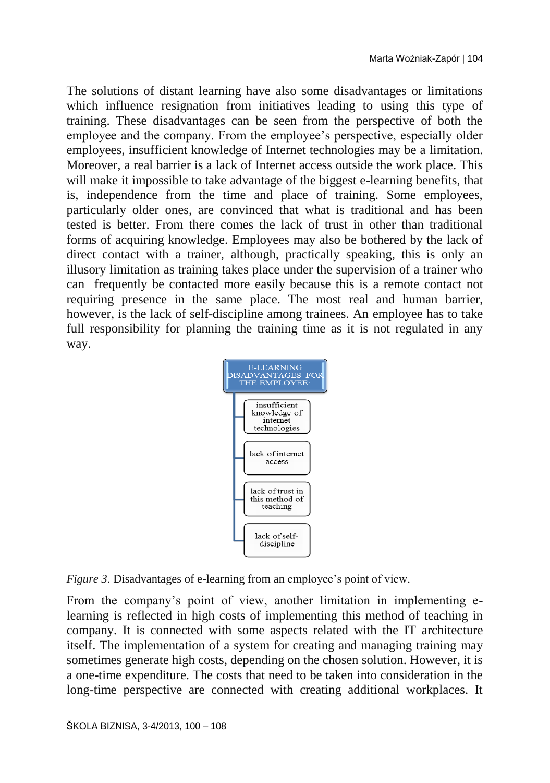The solutions of distant learning have also some disadvantages or limitations which influence resignation from initiatives leading to using this type of training. These disadvantages can be seen from the perspective of both the employee and the company. From the employee's perspective, especially older employees, insufficient knowledge of Internet technologies may be a limitation. Moreover, a real barrier is a lack of Internet access outside the work place. This will make it impossible to take advantage of the biggest e-learning benefits, that is, independence from the time and place of training. Some employees, particularly older ones, are convinced that what is traditional and has been tested is better. From there comes the lack of trust in other than traditional forms of acquiring knowledge. Employees may also be bothered by the lack of direct contact with a trainer, although, practically speaking, this is only an illusory limitation as training takes place under the supervision of a trainer who can frequently be contacted more easily because this is a remote contact not requiring presence in the same place. The most real and human barrier, however, is the lack of self-discipline among trainees. An employee has to take full responsibility for planning the training time as it is not regulated in any way.



*Figure 3.* Disadvantages of e-learning from an employee's point of view.

From the company's point of view, another limitation in implementing elearning is reflected in high costs of implementing this method of teaching in company. It is connected with some aspects related with the IT architecture itself. The implementation of a system for creating and managing training may sometimes generate high costs, depending on the chosen solution. However, it is a one-time expenditure. The costs that need to be taken into consideration in the long-time perspective are connected with creating additional workplaces. It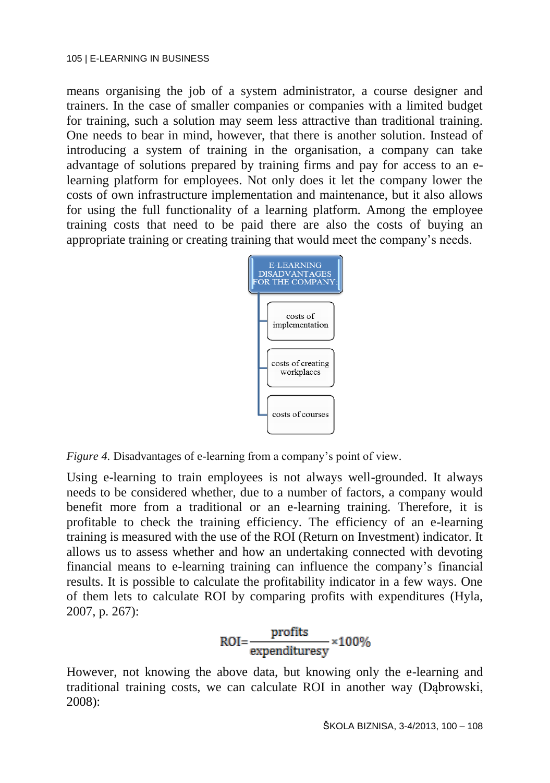means organising the job of a system administrator, a course designer and trainers. In the case of smaller companies or companies with a limited budget for training, such a solution may seem less attractive than traditional training. One needs to bear in mind, however, that there is another solution. Instead of introducing a system of training in the organisation, a company can take advantage of solutions prepared by training firms and pay for access to an elearning platform for employees. Not only does it let the company lower the costs of own infrastructure implementation and maintenance, but it also allows for using the full functionality of a learning platform. Among the employee training costs that need to be paid there are also the costs of buying an appropriate training or creating training that would meet the company's needs.



*Figure 4.* Disadvantages of e-learning from a company's point of view.

Using e-learning to train employees is not always well-grounded. It always needs to be considered whether, due to a number of factors, a company would benefit more from a traditional or an e-learning training. Therefore, it is profitable to check the training efficiency. The efficiency of an e-learning training is measured with the use of the ROI (Return on Investment) indicator. It allows us to assess whether and how an undertaking connected with devoting financial means to e-learning training can influence the company's financial results. It is possible to calculate the profitability indicator in a few ways. One of them lets to calculate ROI by comparing profits with expenditures (Hyla, 2007, p. 267):

$$
ROI = \frac{profits}{expendituresy} \times 100\%
$$

However, not knowing the above data, but knowing only the e-learning and traditional training costs, we can calculate ROI in another way (Dąbrowski, 2008):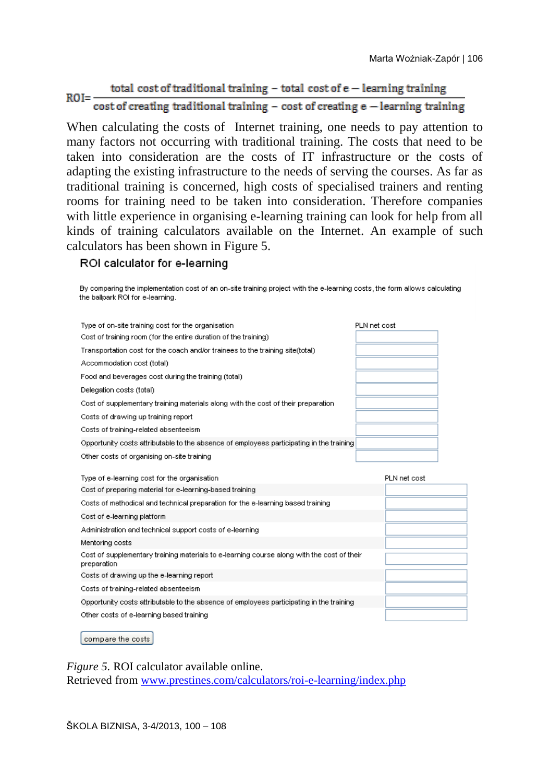#### total cost of traditional training - total cost of e - learning training  $ROI = \overline{\text{cost}}$  of creating traditional training - cost of creating  $\overline{\text{e}}$  - learning training

When calculating the costs of Internet training, one needs to pay attention to many factors not occurring with traditional training. The costs that need to be taken into consideration are the costs of IT infrastructure or the costs of adapting the existing infrastructure to the needs of serving the courses. As far as traditional training is concerned, high costs of specialised trainers and renting rooms for training need to be taken into consideration. Therefore companies with little experience in organising e-learning training can look for help from all kinds of training calculators available on the Internet. An example of such calculators has been shown in Figure 5.

### ROI calculator for e-learning

| By comparing the implementation cost of an on-site training project with the e-learning costs, the form allows calculating<br>the ballpark ROI for e-learning. |              |              |  |
|----------------------------------------------------------------------------------------------------------------------------------------------------------------|--------------|--------------|--|
| Type of on-site training cost for the organisation.                                                                                                            | PLN net cost |              |  |
| Cost of training room (for the entire duration of the training)                                                                                                |              |              |  |
| Transportation cost for the coach and/or trainees to the training site(total)                                                                                  |              |              |  |
| Accommodation cost (total)                                                                                                                                     |              |              |  |
| Food and beverages cost during the training (total)                                                                                                            |              |              |  |
| Delegation costs (total)                                                                                                                                       |              |              |  |
| Cost of supplementary training materials along with the cost of their preparation                                                                              |              |              |  |
| Costs of drawing up training report                                                                                                                            |              |              |  |
| Costs of training-related absenteeism                                                                                                                          |              |              |  |
| Opportunity costs attributable to the absence of employees participating in the training                                                                       |              |              |  |
| Other costs of organising on-site training                                                                                                                     |              |              |  |
| Type of e-learning cost for the organisation                                                                                                                   |              | PLN net cost |  |
| Cost of preparing material for e-learning-based training                                                                                                       |              |              |  |
| Costs of methodical and technical preparation for the e-learning based training                                                                                |              |              |  |
| Cost of e-learning platform                                                                                                                                    |              |              |  |
| Administration and technical support costs of e-learning                                                                                                       |              |              |  |
| Mentoring costs                                                                                                                                                |              |              |  |
| Cost of supplementary training materials to e-learning course along with the cost of their<br>preparation                                                      |              |              |  |
| Costs of drawing up the e-learning report                                                                                                                      |              |              |  |
| Costs of training-related absenteeism                                                                                                                          |              |              |  |
| Opportunity costs attributable to the absence of employees participating in the training                                                                       |              |              |  |
| Other costs of e-learning based training                                                                                                                       |              |              |  |
|                                                                                                                                                                |              |              |  |

compare the costs

*Figure 5.* ROI calculator available online. Retrieved from [www.prestines.com/calculators/roi-e-learning/index.php](http://www.prestines.com/calculators/roi-e-learning/index.php)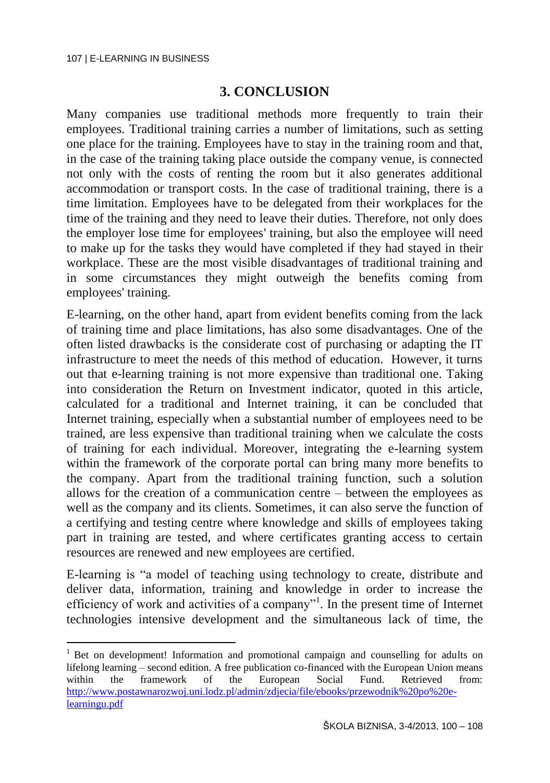l

### **3. CONCLUSION**

Many companies use traditional methods more frequently to train their employees. Traditional training carries a number of limitations, such as setting one place for the training. Employees have to stay in the training room and that, in the case of the training taking place outside the company venue, is connected not only with the costs of renting the room but it also generates additional accommodation or transport costs. In the case of traditional training, there is a time limitation. Employees have to be delegated from their workplaces for the time of the training and they need to leave their duties. Therefore, not only does the employer lose time for employees' training, but also the employee will need to make up for the tasks they would have completed if they had stayed in their workplace. These are the most visible disadvantages of traditional training and in some circumstances they might outweigh the benefits coming from employees' training.

E-learning, on the other hand, apart from evident benefits coming from the lack of training time and place limitations, has also some disadvantages. One of the often listed drawbacks is the considerate cost of purchasing or adapting the IT infrastructure to meet the needs of this method of education. However, it turns out that e-learning training is not more expensive than traditional one. Taking into consideration the Return on Investment indicator, quoted in this article, calculated for a traditional and Internet training, it can be concluded that Internet training, especially when a substantial number of employees need to be trained, are less expensive than traditional training when we calculate the costs of training for each individual. Moreover, integrating the e-learning system within the framework of the corporate portal can bring many more benefits to the company. Apart from the traditional training function, such a solution allows for the creation of a communication centre – between the employees as well as the company and its clients. Sometimes, it can also serve the function of a certifying and testing centre where knowledge and skills of employees taking part in training are tested, and where certificates granting access to certain resources are renewed and new employees are certified.

E-learning is "a model of teaching using technology to create, distribute and deliver data, information, training and knowledge in order to increase the efficiency of work and activities of a company"<sup>1</sup>. In the present time of Internet technologies intensive development and the simultaneous lack of time, the

<sup>&</sup>lt;sup>1</sup> Bet on development! Information and promotional campaign and counselling for adults on lifelong learning – second edition. A free publication co-financed with the European Union means within the framework of the European Social Fund. Retrieved from: [http://www.postawnarozwoj.uni.lodz.pl/admin/zdjecia/file/ebooks/przewodnik%20po%20e](http://www.postawnarozwoj.uni.lodz.pl/admin/zdjecia/file/ebooks/przewodnik%20po%20e-learningu.pdf)[learningu.pdf](http://www.postawnarozwoj.uni.lodz.pl/admin/zdjecia/file/ebooks/przewodnik%20po%20e-learningu.pdf)